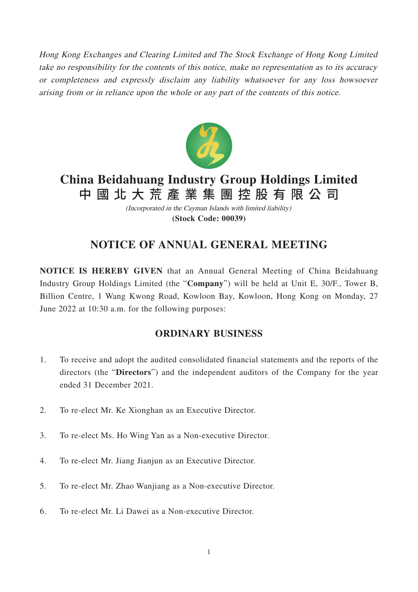Hong Kong Exchanges and Clearing Limited and The Stock Exchange of Hong Kong Limited take no responsibility for the contents of this notice, make no representation as to its accuracy or completeness and expressly disclaim any liability whatsoever for any loss howsoever arising from or in reliance upon the whole or any part of the contents of this notice.



# **China Beidahuang Industry Group Holdings Limited** 中國北大荒產業集團控股有限公 司

(Incorporated in the Cayman Islands with limited liability) **(Stock Code: 00039)**

## **NOTICE OF ANNUAL GENERAL MEETING**

**NOTICE IS HEREBY GIVEN** that an Annual General Meeting of China Beidahuang Industry Group Holdings Limited (the "**Company**") will be held at Unit E, 30/F., Tower B, Billion Centre, 1 Wang Kwong Road, Kowloon Bay, Kowloon, Hong Kong on Monday, 27 June 2022 at 10:30 a.m. for the following purposes:

### **ORDINARY BUSINESS**

- 1. To receive and adopt the audited consolidated financial statements and the reports of the directors (the "**Directors**") and the independent auditors of the Company for the year ended 31 December 2021.
- 2. To re-elect Mr. Ke Xionghan as an Executive Director.
- 3. To re-elect Ms. Ho Wing Yan as a Non-executive Director.
- 4. To re-elect Mr. Jiang Jianjun as an Executive Director.
- 5. To re-elect Mr. Zhao Wanjiang as a Non-executive Director.
- 6. To re-elect Mr. Li Dawei as a Non-executive Director.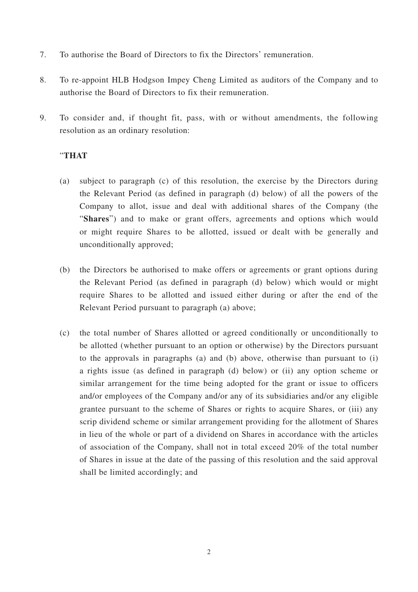- 7. To authorise the Board of Directors to fix the Directors' remuneration.
- 8. To re-appoint HLB Hodgson Impey Cheng Limited as auditors of the Company and to authorise the Board of Directors to fix their remuneration.
- 9. To consider and, if thought fit, pass, with or without amendments, the following resolution as an ordinary resolution:

#### "**THAT**

- (a) subject to paragraph (c) of this resolution, the exercise by the Directors during the Relevant Period (as defined in paragraph (d) below) of all the powers of the Company to allot, issue and deal with additional shares of the Company (the "**Shares**") and to make or grant offers, agreements and options which would or might require Shares to be allotted, issued or dealt with be generally and unconditionally approved;
- (b) the Directors be authorised to make offers or agreements or grant options during the Relevant Period (as defined in paragraph (d) below) which would or might require Shares to be allotted and issued either during or after the end of the Relevant Period pursuant to paragraph (a) above;
- (c) the total number of Shares allotted or agreed conditionally or unconditionally to be allotted (whether pursuant to an option or otherwise) by the Directors pursuant to the approvals in paragraphs (a) and (b) above, otherwise than pursuant to (i) a rights issue (as defined in paragraph (d) below) or (ii) any option scheme or similar arrangement for the time being adopted for the grant or issue to officers and/or employees of the Company and/or any of its subsidiaries and/or any eligible grantee pursuant to the scheme of Shares or rights to acquire Shares, or (iii) any scrip dividend scheme or similar arrangement providing for the allotment of Shares in lieu of the whole or part of a dividend on Shares in accordance with the articles of association of the Company, shall not in total exceed 20% of the total number of Shares in issue at the date of the passing of this resolution and the said approval shall be limited accordingly; and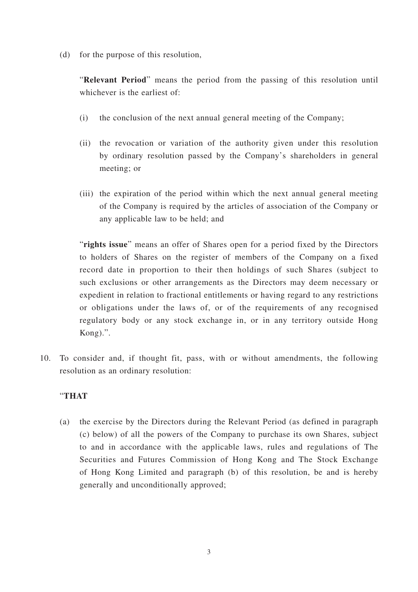(d) for the purpose of this resolution,

"**Relevant Period**" means the period from the passing of this resolution until whichever is the earliest of:

- (i) the conclusion of the next annual general meeting of the Company;
- (ii) the revocation or variation of the authority given under this resolution by ordinary resolution passed by the Company's shareholders in general meeting; or
- (iii) the expiration of the period within which the next annual general meeting of the Company is required by the articles of association of the Company or any applicable law to be held; and

"**rights issue**" means an offer of Shares open for a period fixed by the Directors to holders of Shares on the register of members of the Company on a fixed record date in proportion to their then holdings of such Shares (subject to such exclusions or other arrangements as the Directors may deem necessary or expedient in relation to fractional entitlements or having regard to any restrictions or obligations under the laws of, or of the requirements of any recognised regulatory body or any stock exchange in, or in any territory outside Hong Kong).".

10. To consider and, if thought fit, pass, with or without amendments, the following resolution as an ordinary resolution:

### "**THAT**

(a) the exercise by the Directors during the Relevant Period (as defined in paragraph (c) below) of all the powers of the Company to purchase its own Shares, subject to and in accordance with the applicable laws, rules and regulations of The Securities and Futures Commission of Hong Kong and The Stock Exchange of Hong Kong Limited and paragraph (b) of this resolution, be and is hereby generally and unconditionally approved;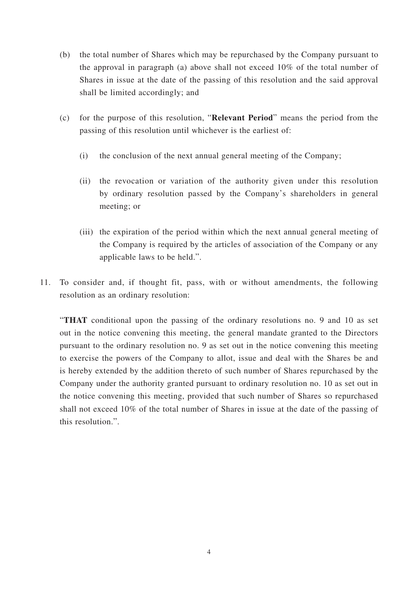- (b) the total number of Shares which may be repurchased by the Company pursuant to the approval in paragraph (a) above shall not exceed 10% of the total number of Shares in issue at the date of the passing of this resolution and the said approval shall be limited accordingly; and
- (c) for the purpose of this resolution, "**Relevant Period**" means the period from the passing of this resolution until whichever is the earliest of:
	- (i) the conclusion of the next annual general meeting of the Company;
	- (ii) the revocation or variation of the authority given under this resolution by ordinary resolution passed by the Company's shareholders in general meeting; or
	- (iii) the expiration of the period within which the next annual general meeting of the Company is required by the articles of association of the Company or any applicable laws to be held.".
- 11. To consider and, if thought fit, pass, with or without amendments, the following resolution as an ordinary resolution:

"**THAT** conditional upon the passing of the ordinary resolutions no. 9 and 10 as set out in the notice convening this meeting, the general mandate granted to the Directors pursuant to the ordinary resolution no. 9 as set out in the notice convening this meeting to exercise the powers of the Company to allot, issue and deal with the Shares be and is hereby extended by the addition thereto of such number of Shares repurchased by the Company under the authority granted pursuant to ordinary resolution no. 10 as set out in the notice convening this meeting, provided that such number of Shares so repurchased shall not exceed 10% of the total number of Shares in issue at the date of the passing of this resolution.".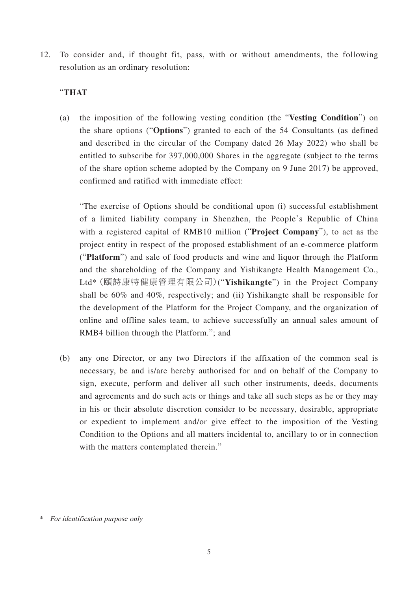12. To consider and, if thought fit, pass, with or without amendments, the following resolution as an ordinary resolution:

#### "**THAT**

(a) the imposition of the following vesting condition (the "**Vesting Condition**") on the share options ("**Options**") granted to each of the 54 Consultants (as defined and described in the circular of the Company dated 26 May 2022) who shall be entitled to subscribe for 397,000,000 Shares in the aggregate (subject to the terms of the share option scheme adopted by the Company on 9 June 2017) be approved, confirmed and ratified with immediate effect:

"The exercise of Options should be conditional upon (i) successful establishment of a limited liability company in Shenzhen, the People's Republic of China with a registered capital of RMB10 million ("**Project Company**"), to act as the project entity in respect of the proposed establishment of an e-commerce platform ("**Platform**") and sale of food products and wine and liquor through the Platform and the shareholding of the Company and Yishikangte Health Management Co., Ltd\*(頤詩康特健康管理有限公司)("**Yishikangte**") in the Project Company shall be 60% and 40%, respectively; and (ii) Yishikangte shall be responsible for the development of the Platform for the Project Company, and the organization of online and offline sales team, to achieve successfully an annual sales amount of RMB4 billion through the Platform."; and

(b) any one Director, or any two Directors if the affixation of the common seal is necessary, be and is/are hereby authorised for and on behalf of the Company to sign, execute, perform and deliver all such other instruments, deeds, documents and agreements and do such acts or things and take all such steps as he or they may in his or their absolute discretion consider to be necessary, desirable, appropriate or expedient to implement and/or give effect to the imposition of the Vesting Condition to the Options and all matters incidental to, ancillary to or in connection with the matters contemplated therein."

<sup>\*</sup> For identification purpose only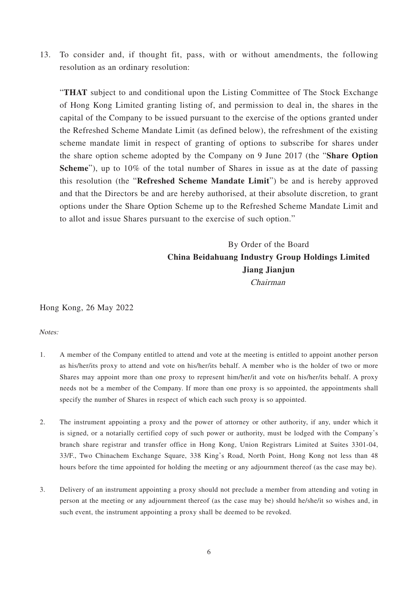13. To consider and, if thought fit, pass, with or without amendments, the following resolution as an ordinary resolution:

"**THAT** subject to and conditional upon the Listing Committee of The Stock Exchange of Hong Kong Limited granting listing of, and permission to deal in, the shares in the capital of the Company to be issued pursuant to the exercise of the options granted under the Refreshed Scheme Mandate Limit (as defined below), the refreshment of the existing scheme mandate limit in respect of granting of options to subscribe for shares under the share option scheme adopted by the Company on 9 June 2017 (the "**Share Option Scheme**"), up to 10% of the total number of Shares in issue as at the date of passing this resolution (the "**Refreshed Scheme Mandate Limit**") be and is hereby approved and that the Directors be and are hereby authorised, at their absolute discretion, to grant options under the Share Option Scheme up to the Refreshed Scheme Mandate Limit and to allot and issue Shares pursuant to the exercise of such option."

### By Order of the Board **China Beidahuang Industry Group Holdings Limited Jiang Jianjun** Chairman

Hong Kong, 26 May 2022

Notes:

- 1. A member of the Company entitled to attend and vote at the meeting is entitled to appoint another person as his/her/its proxy to attend and vote on his/her/its behalf. A member who is the holder of two or more Shares may appoint more than one proxy to represent him/her/it and vote on his/her/its behalf. A proxy needs not be a member of the Company. If more than one proxy is so appointed, the appointments shall specify the number of Shares in respect of which each such proxy is so appointed.
- 2. The instrument appointing a proxy and the power of attorney or other authority, if any, under which it is signed, or a notarially certified copy of such power or authority, must be lodged with the Company's branch share registrar and transfer office in Hong Kong, Union Registrars Limited at Suites 3301-04, 33/F., Two Chinachem Exchange Square, 338 King's Road, North Point, Hong Kong not less than 48 hours before the time appointed for holding the meeting or any adjournment thereof (as the case may be).
- 3. Delivery of an instrument appointing a proxy should not preclude a member from attending and voting in person at the meeting or any adjournment thereof (as the case may be) should he/she/it so wishes and, in such event, the instrument appointing a proxy shall be deemed to be revoked.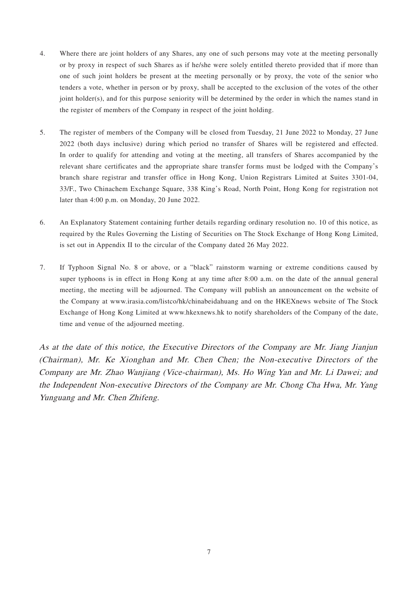- 4. Where there are joint holders of any Shares, any one of such persons may vote at the meeting personally or by proxy in respect of such Shares as if he/she were solely entitled thereto provided that if more than one of such joint holders be present at the meeting personally or by proxy, the vote of the senior who tenders a vote, whether in person or by proxy, shall be accepted to the exclusion of the votes of the other joint holder(s), and for this purpose seniority will be determined by the order in which the names stand in the register of members of the Company in respect of the joint holding.
- 5. The register of members of the Company will be closed from Tuesday, 21 June 2022 to Monday, 27 June 2022 (both days inclusive) during which period no transfer of Shares will be registered and effected. In order to qualify for attending and voting at the meeting, all transfers of Shares accompanied by the relevant share certificates and the appropriate share transfer forms must be lodged with the Company's branch share registrar and transfer office in Hong Kong, Union Registrars Limited at Suites 3301-04, 33/F., Two Chinachem Exchange Square, 338 King's Road, North Point, Hong Kong for registration not later than 4:00 p.m. on Monday, 20 June 2022.
- 6. An Explanatory Statement containing further details regarding ordinary resolution no. 10 of this notice, as required by the Rules Governing the Listing of Securities on The Stock Exchange of Hong Kong Limited, is set out in Appendix II to the circular of the Company dated 26 May 2022.
- 7. If Typhoon Signal No. 8 or above, or a "black" rainstorm warning or extreme conditions caused by super typhoons is in effect in Hong Kong at any time after 8:00 a.m. on the date of the annual general meeting, the meeting will be adjourned. The Company will publish an announcement on the website of the Company at www.irasia.com/listco/hk/chinabeidahuang and on the HKEXnews website of The Stock Exchange of Hong Kong Limited at www.hkexnews.hk to notify shareholders of the Company of the date, time and venue of the adjourned meeting.

As at the date of this notice, the Executive Directors of the Company are Mr. Jiang Jianjun (Chairman), Mr. Ke Xionghan and Mr. Chen Chen; the Non-executive Directors of the Company are Mr. Zhao Wanjiang (Vice-chairman), Ms. Ho Wing Yan and Mr. Li Dawei; and the Independent Non-executive Directors of the Company are Mr. Chong Cha Hwa, Mr. Yang Yunguang and Mr. Chen Zhifeng.